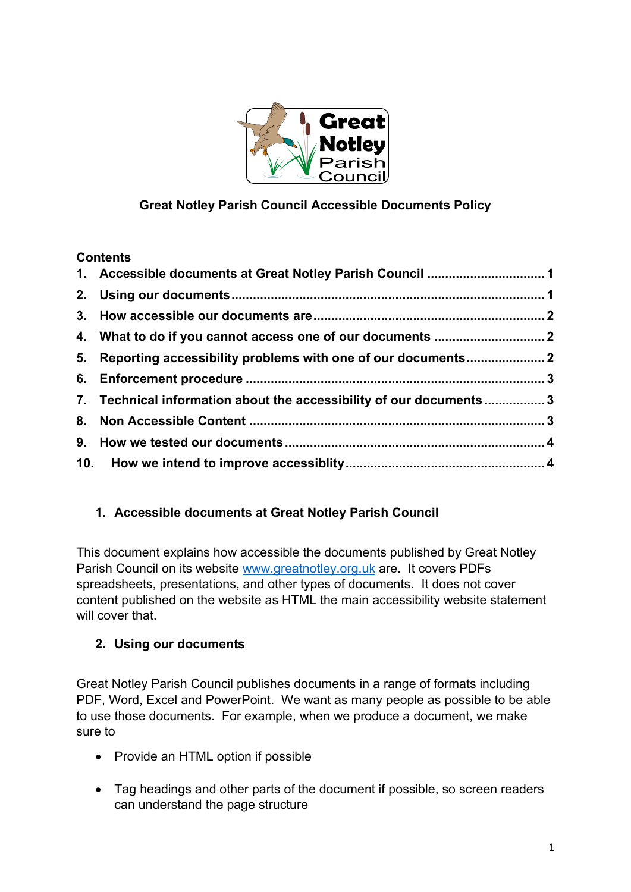

# **Great Notley Parish Council Accessible Documents Policy**

### **Contents**

| 5. Reporting accessibility problems with one of our documents 2     |  |
|---------------------------------------------------------------------|--|
|                                                                     |  |
| 7. Technical information about the accessibility of our documents 3 |  |
|                                                                     |  |
|                                                                     |  |
|                                                                     |  |

## <span id="page-0-0"></span>**1. Accessible documents at Great Notley Parish Council**

This document explains how accessible the documents published by Great Notley Parish Council on its website [www.greatnotley.org.uk](http://www.greatnotley.org.uk/) are. It covers PDFs spreadsheets, presentations, and other types of documents. It does not cover content published on the website as HTML the main accessibility website statement will cover that.

## <span id="page-0-1"></span>**2. Using our documents**

Great Notley Parish Council publishes documents in a range of formats including PDF, Word, Excel and PowerPoint. We want as many people as possible to be able to use those documents. For example, when we produce a document, we make sure to

- Provide an HTML option if possible
- Tag headings and other parts of the document if possible, so screen readers can understand the page structure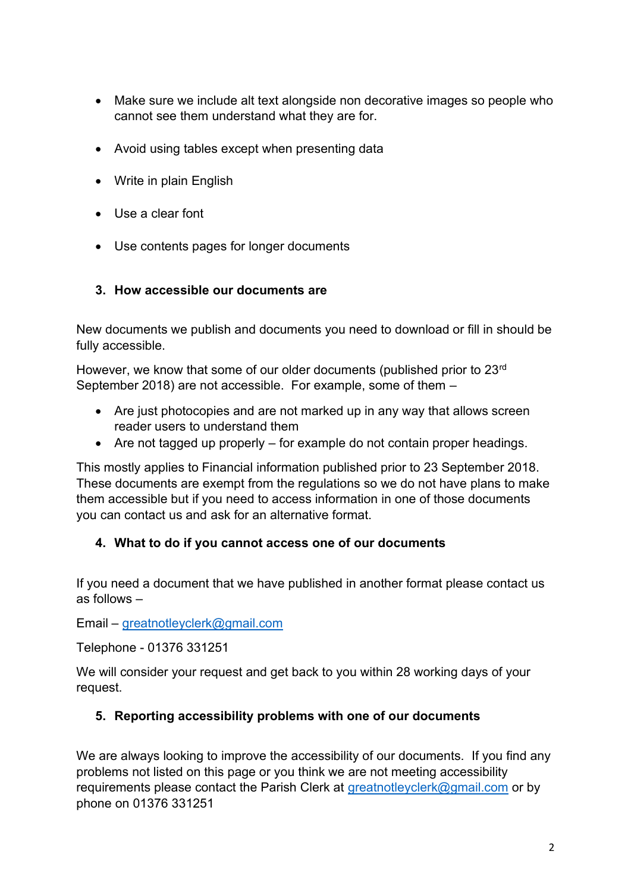- Make sure we include alt text alongside non decorative images so people who cannot see them understand what they are for.
- Avoid using tables except when presenting data
- Write in plain English
- Use a clear font
- Use contents pages for longer documents

#### <span id="page-1-0"></span>**3. How accessible our documents are**

New documents we publish and documents you need to download or fill in should be fully accessible.

However, we know that some of our older documents (published prior to 23<sup>rd</sup>) September 2018) are not accessible. For example, some of them –

- Are just photocopies and are not marked up in any way that allows screen reader users to understand them
- Are not tagged up properly for example do not contain proper headings.

This mostly applies to Financial information published prior to 23 September 2018. These documents are exempt from the regulations so we do not have plans to make them accessible but if you need to access information in one of those documents you can contact us and ask for an alternative format.

### <span id="page-1-1"></span>**4. What to do if you cannot access one of our documents**

If you need a document that we have published in another format please contact us as follows –

Email – [greatnotleyclerk@gmail.com](mailto:greatnotleyclerk@gmail.com)

Telephone - 01376 331251

We will consider your request and get back to you within 28 working days of your request.

### <span id="page-1-2"></span>**5. Reporting accessibility problems with one of our documents**

We are always looking to improve the accessibility of our documents. If you find any problems not listed on this page or you think we are not meeting accessibility requirements please contact the Parish Clerk at [greatnotleyclerk@gmail.com](mailto:greatnotleyclerk@gmail.com) or by phone on 01376 331251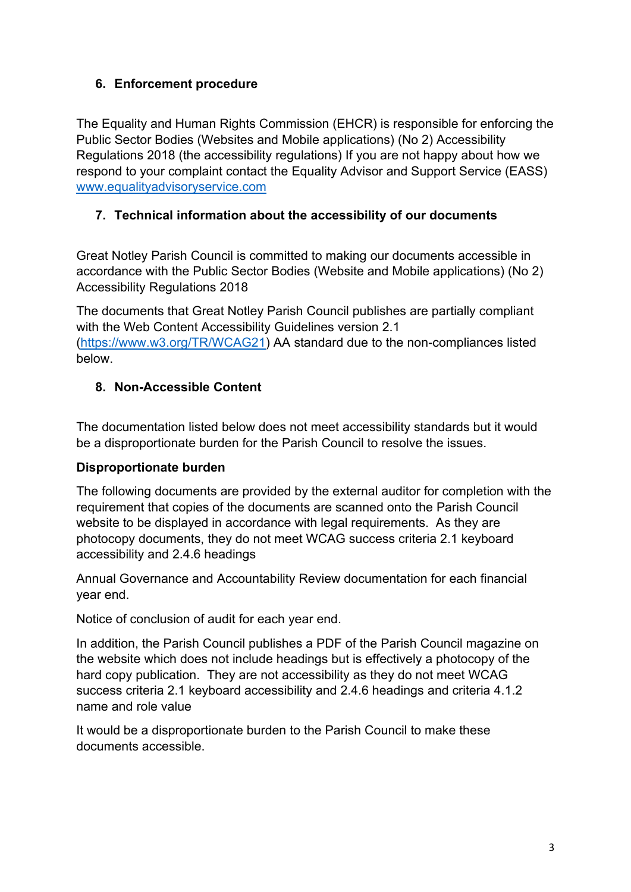### <span id="page-2-0"></span>**6. Enforcement procedure**

The Equality and Human Rights Commission (EHCR) is responsible for enforcing the Public Sector Bodies (Websites and Mobile applications) (No 2) Accessibility Regulations 2018 (the accessibility regulations) If you are not happy about how we respond to your complaint contact the Equality Advisor and Support Service (EASS) [www.equalityadvisoryservice.com](http://www.equalityadvisoryservice.com/)

## <span id="page-2-1"></span>**7. Technical information about the accessibility of our documents**

Great Notley Parish Council is committed to making our documents accessible in accordance with the Public Sector Bodies (Website and Mobile applications) (No 2) Accessibility Regulations 2018

The documents that Great Notley Parish Council publishes are partially compliant with the Web Content Accessibility Guidelines version 2.1 [\(https://www.w3.org/TR/WCAG21\)](https://www.w3.org/TR/WCAG21) AA standard due to the non-compliances listed below.

### <span id="page-2-2"></span>**8. Non-Accessible Content**

The documentation listed below does not meet accessibility standards but it would be a disproportionate burden for the Parish Council to resolve the issues.

### **Disproportionate burden**

The following documents are provided by the external auditor for completion with the requirement that copies of the documents are scanned onto the Parish Council website to be displayed in accordance with legal requirements. As they are photocopy documents, they do not meet WCAG success criteria 2.1 keyboard accessibility and 2.4.6 headings

Annual Governance and Accountability Review documentation for each financial year end.

Notice of conclusion of audit for each year end.

In addition, the Parish Council publishes a PDF of the Parish Council magazine on the website which does not include headings but is effectively a photocopy of the hard copy publication. They are not accessibility as they do not meet WCAG success criteria 2.1 keyboard accessibility and 2.4.6 headings and criteria 4.1.2 name and role value

It would be a disproportionate burden to the Parish Council to make these documents accessible.